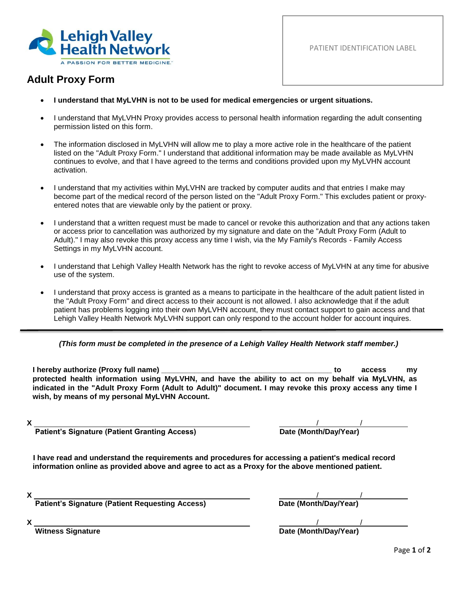

PATIENT IDENTIFICATION LABEL

## **Adult Proxy Form**

- **I understand that MyLVHN is not to be used for medical emergencies or urgent situations.**
- I understand that MyLVHN Proxy provides access to personal health information regarding the adult consenting permission listed on this form.
- The information disclosed in MyLVHN will allow me to play a more active role in the healthcare of the patient listed on the "Adult Proxy Form." I understand that additional information may be made available as MyLVHN continues to evolve, and that I have agreed to the terms and conditions provided upon my MyLVHN account activation.
- I understand that my activities within MyLVHN are tracked by computer audits and that entries I make may become part of the medical record of the person listed on the "Adult Proxy Form." This excludes patient or proxyentered notes that are viewable only by the patient or proxy.
- I understand that a written request must be made to cancel or revoke this authorization and that any actions taken or access prior to cancellation was authorized by my signature and date on the "Adult Proxy Form (Adult to Adult)." I may also revoke this proxy access any time I wish, via the My Family's Records - Family Access Settings in my MyLVHN account.
- I understand that Lehigh Valley Health Network has the right to revoke access of MyLVHN at any time for abusive use of the system.
- I understand that proxy access is granted as a means to participate in the healthcare of the adult patient listed in the "Adult Proxy Form" and direct access to their account is not allowed. I also acknowledge that if the adult patient has problems logging into their own MyLVHN account, they must contact support to gain access and that Lehigh Valley Health Network MyLVHN support can only respond to the account holder for account inquires.

## *(This form must be completed in the presence of a Lehigh Valley Health Network staff member.)*

**I hereby authorize (Proxy full name) \_\_\_\_\_\_\_\_\_\_\_\_\_\_\_\_\_\_\_\_\_\_\_\_\_\_\_\_\_\_\_\_\_\_\_\_\_\_\_\_\_ to access my protected health information using MyLVHN, and have the ability to act on my behalf via MyLVHN, as indicated in the "Adult Proxy Form (Adult to Adult)" document. I may revoke this proxy access any time I wish, by means of my personal MyLVHN Account.** 

| <b>Patient's Signature (Patient Granting Access)</b> | Date (Month/Day/Year) |  |  |
|------------------------------------------------------|-----------------------|--|--|

**I have read and understand the requirements and procedures for accessing a patient's medical record information online as provided above and agree to act as a Proxy for the above mentioned patient.**

**Patient's Signature (Patient Requesting Access) Date (Month/Day/Year)** 

**X** / / .

**X** / / . **Witness Signature Date (Month/Day/Year)**